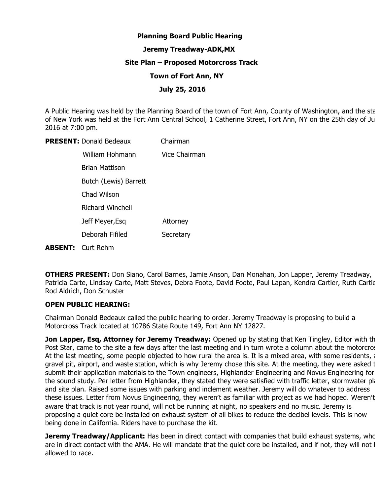# **Planning Board Public Hearing**

## **Jeremy Treadway-ADK,MX**

### **Site Plan – Proposed Motorcross Track**

### **Town of Fort Ann, NY**

## **July 25, 2016**

A Public Hearing was held by the Planning Board of the town of Fort Ann, County of Washington, and the sta of New York was held at the Fort Ann Central School, 1 Catherine Street, Fort Ann, NY on the 25th day of Ju 2016 at 7:00 pm.

| <b>PRESENT: Donald Bedeaux</b> | Chairman      |
|--------------------------------|---------------|
| William Hohmann                | Vice Chairman |
| Brian Mattison                 |               |
| Butch (Lewis) Barrett          |               |
| Chad Wilson                    |               |
| <b>Richard Winchell</b>        |               |
| Jeff Meyer, Esq                | Attorney      |
| Deborah Fifiled                | Secretary     |
| <b>ABSENT:</b> Curt Rehm       |               |

**OTHERS PRESENT:** Don Siano, Carol Barnes, Jamie Anson, Dan Monahan, Jon Lapper, Jeremy Treadway, Patricia Carte, Lindsay Carte, Matt Steves, Debra Foote, David Foote, Paul Lapan, Kendra Cartier, Ruth Cartier, Rod Aldrich, Don Schuster

## **OPEN PUBLIC HEARING:**

Chairman Donald Bedeaux called the public hearing to order. Jeremy Treadway is proposing to build a Motorcross Track located at 10786 State Route 149, Fort Ann NY 12827.

**Jon Lapper, Esq, Attorney for Jeremy Treadway:** Opened up by stating that Ken Tingley, Editor with th Post Star, came to the site a few days after the last meeting and in turn wrote a column about the motorcros At the last meeting, some people objected to how rural the area is. It is a mixed area, with some residents,  $\epsilon$ gravel pit, airport, and waste station, which is why Jeremy chose this site. At the meeting, they were asked t submit their application materials to the Town engineers, Highlander Engineering and Novus Engineering for the sound study. Per letter from Highlander, they stated they were satisfied with traffic letter, stormwater pla and site plan. Raised some issues with parking and inclement weather. Jeremy will do whatever to address these issues. Letter from Novus Engineering, they weren't as familiar with project as we had hoped. Weren't aware that track is not year round, will not be running at night, no speakers and no music. Jeremy is proposing a quiet core be installed on exhaust system of all bikes to reduce the decibel levels. This is now being done in California. Riders have to purchase the kit.

**Jeremy Treadway/Applicant:** Has been in direct contact with companies that build exhaust systems, who are in direct contact with the AMA. He will mandate that the quiet core be installed, and if not, they will not l allowed to race.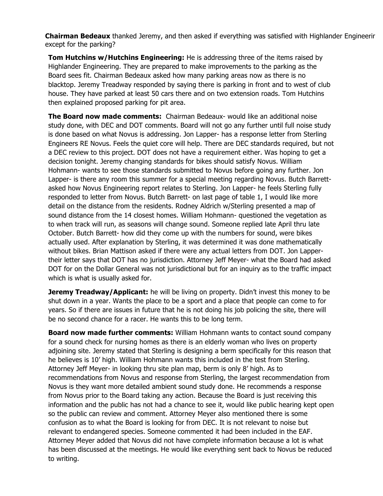**Chairman Bedeaux** thanked Jeremy, and then asked if everything was satisfied with Highlander Engineering except for the parking?

**Tom Hutchins w/Hutchins Engineering:** He is addressing three of the items raised by Highlander Engineering. They are prepared to make improvements to the parking as the Board sees fit. Chairman Bedeaux asked how many parking areas now as there is no blacktop. Jeremy Treadway responded by saying there is parking in front and to west of club house. They have parked at least 50 cars there and on two extension roads. Tom Hutchins then explained proposed parking for pit area.

**The Board now made comments:** Chairman Bedeaux- would like an additional noise study done, with DEC and DOT comments. Board will not go any further until full noise study is done based on what Novus is addressing. Jon Lapper- has a response letter from Sterling Engineers RE Novus. Feels the quiet core will help. There are DEC standards required, but not a DEC review to this project. DOT does not have a requirement either. Was hoping to get a decision tonight. Jeremy changing standards for bikes should satisfy Novus. William Hohmann- wants to see those standards submitted to Novus before going any further. Jon Lapper- is there any room this summer for a special meeting regarding Novus. Butch Barrettasked how Novus Engineering report relates to Sterling. Jon Lapper- he feels Sterling fully responded to letter from Novus. Butch Barrett- on last page of table 1, I would like more detail on the distance from the residents. Rodney Aldrich w/Sterling presented a map of sound distance from the 14 closest homes. William Hohmann- questioned the vegetation as to when track will run, as seasons will change sound. Someone replied late April thru late October. Butch Barrett- how did they come up with the numbers for sound, were bikes actually used. After explanation by Sterling, it was determined it was done mathematically without bikes. Brian Mattison asked if there were any actual letters from DOT. Jon Lappertheir letter says that DOT has no jurisdiction. Attorney Jeff Meyer- what the Board had asked DOT for on the Dollar General was not jurisdictional but for an inquiry as to the traffic impact which is what is usually asked for.

**Jeremy Treadway/Applicant:** he will be living on property. Didn't invest this money to be shut down in a year. Wants the place to be a sport and a place that people can come to for years. So if there are issues in future that he is not doing his job policing the site, there will be no second chance for a racer. He wants this to be long term.

**Board now made further comments:** William Hohmann wants to contact sound company for a sound check for nursing homes as there is an elderly woman who lives on property adjoining site. Jeremy stated that Sterling is designing a berm specifically for this reason that he believes is 10' high. William Hohmann wants this included in the test from Sterling. Attorney Jeff Meyer- in looking thru site plan map, berm is only 8' high. As to recommendations from Novus and response from Sterling, the largest recommendation from Novus is they want more detailed ambient sound study done. He recommends a response from Novus prior to the Board taking any action. Because the Board is just receiving this information and the public has not had a chance to see it, would like public hearing kept open so the public can review and comment. Attorney Meyer also mentioned there is some confusion as to what the Board is looking for from DEC. It is not relevant to noise but relevant to endangered species. Someone commented it had been included in the EAF. Attorney Meyer added that Novus did not have complete information because a lot is what has been discussed at the meetings. He would like everything sent back to Novus be reduced to writing.